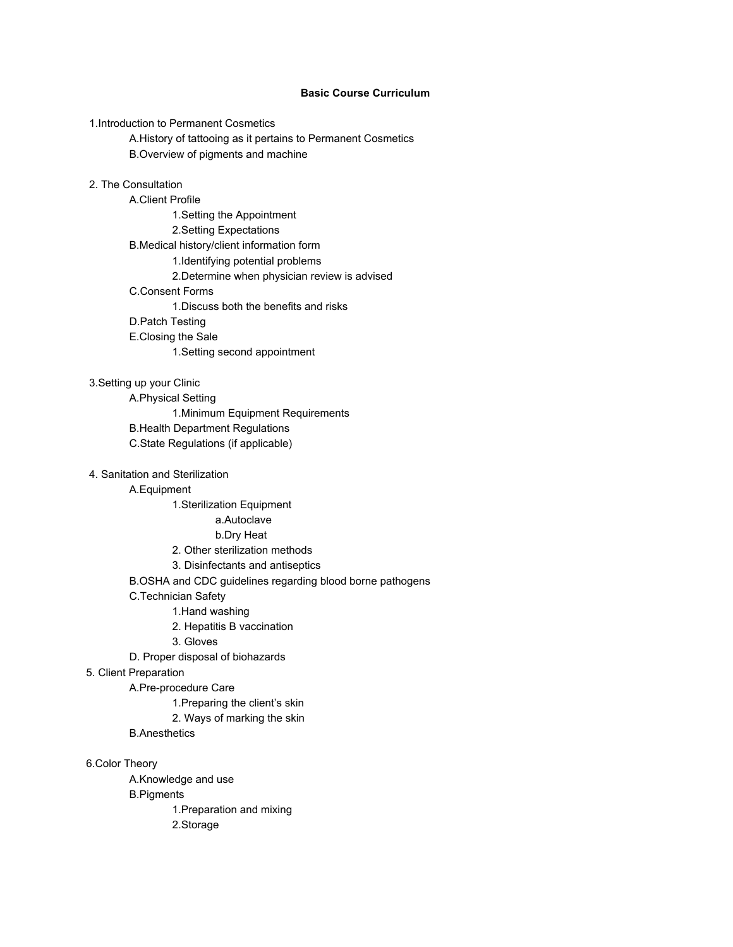# **Basic Course Curriculum**

1.Introduction to Permanent Cosmetics

A.History of tattooing as it pertains to Permanent Cosmetics B.Overview of pigments and machine

### 2. The Consultation

A.Client Profile 1.Setting the Appointment 2.Setting Expectations B.Medical history/client information form 1.Identifying potential problems 2.Determine when physician review is advised C.Consent Forms 1.Discuss both the benefits and risks D.Patch Testing E.Closing the Sale 1.Setting second appointment

# 3.Setting up your Clinic

A.Physical Setting 1.Minimum Equipment Requirements B.Health Department Regulations C.State Regulations (if applicable)

### 4. Sanitation and Sterilization

# A.Equipment

1.Sterilization Equipment

### a.Autoclave

### b.Dry Heat

2. Other sterilization methods

### 3. Disinfectants and antiseptics

B.OSHA and CDC guidelines regarding blood borne pathogens

#### C.Technician Safety

1.Hand washing

2. Hepatitis B vaccination

### 3. Gloves

D. Proper disposal of biohazards

## 5. Client Preparation

A.Pre-procedure Care

1.Preparing the client's skin

- 2. Ways of marking the skin
- B.Anesthetics

6.Color Theory

A.Knowledge and use B.Pigments 1.Preparation and mixing 2.Storage